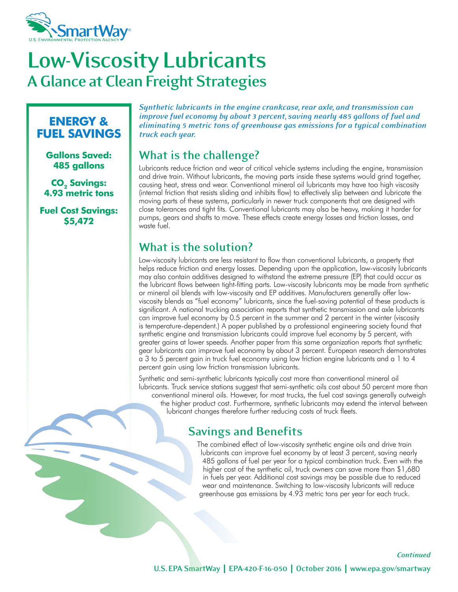

# **Low-Viscosity Lubricants A Glance at Clean Freight Strategies**

#### **ENERGY & FUEL SAVINGS**

**Gallons Saved: 485 gallons**

**CO<sub>2</sub> Savings: 4.93 metric tons**

**Fuel Cost Savings: \$5,472**

*Synthetic lubricants in the engine crankcase, rear axle, and transmission can improve fuel economy by about 3 percent, saving nearly 485 gallons of fuel and eliminating 5 metric tons of greenhouse gas emissions for a typical combination truck each year.*

### **What is the challenge?**

Lubricants reduce friction and wear of critical vehicle systems including the engine, transmission and drive train. Without lubricants, the moving parts inside these systems would grind together, causing heat, stress and wear. Conventional mineral oil lubricants may have too high viscosity (internal friction that resists sliding and inhibits flow) to effectively slip between and lubricate the moving parts of these systems, particularly in newer truck components that are designed with close tolerances and tight fits. Conventional lubricants may also be heavy, making it harder for pumps, gears and shafts to move. These effects create energy losses and friction losses, and waste fuel.

### **What is the solution?**

Low-viscosity lubricants are less resistant to flow than conventional lubricants, a property that helps reduce friction and energy losses. Depending upon the application, low-viscosity lubricants may also contain additives designed to withstand the extreme pressure (EP) that could occur as the lubricant flows between tight-fitting parts. Low-viscosity lubricants may be made from synthetic or mineral oil blends with low-viscosity and EP additives. Manufacturers generally offer lowviscosity blends as "fuel economy" lubricants, since the fuel-saving potential of these products is significant. A national trucking association reports that synthetic transmission and axle lubricants can improve fuel economy by 0.5 percent in the summer and 2 percent in the winter (viscosity is temperature-dependent.) A paper published by a professional engineering society found that synthetic engine and transmission lubricants could improve fuel economy by 5 percent, with greater gains at lower speeds. Another paper from this same organization reports that synthetic gear lubricants can improve fuel economy by about 3 percent. European research demonstrates a 3 to 5 percent gain in truck fuel economy using low friction engine lubricants and a 1 to 4 percent gain using low friction transmission lubricants.

Synthetic and semi-synthetic lubricants typically cost more than conventional mineral oil lubricants. Truck service stations suggest that semi-synthetic oils cost about 50 percent more than conventional mineral oils. However, for most trucks, the fuel cost savings generally outweigh the higher product cost. Furthermore, synthetic lubricants may extend the interval between lubricant changes therefore further reducing costs of truck fleets.

#### **Savings and Benefits**

The combined effect of low-viscosity synthetic engine oils and drive train lubricants can improve fuel economy by at least 3 percent, saving nearly 485 gallons of fuel per year for a typical combination truck. Even with the higher cost of the synthetic oil, truck owners can save more than \$1,680 in fuels per year. Additional cost savings may be possible due to reduced wear and maintenance. Switching to low-viscosity lubricants will reduce greenhouse gas emissions by 4.93 metric tons per year for each truck.